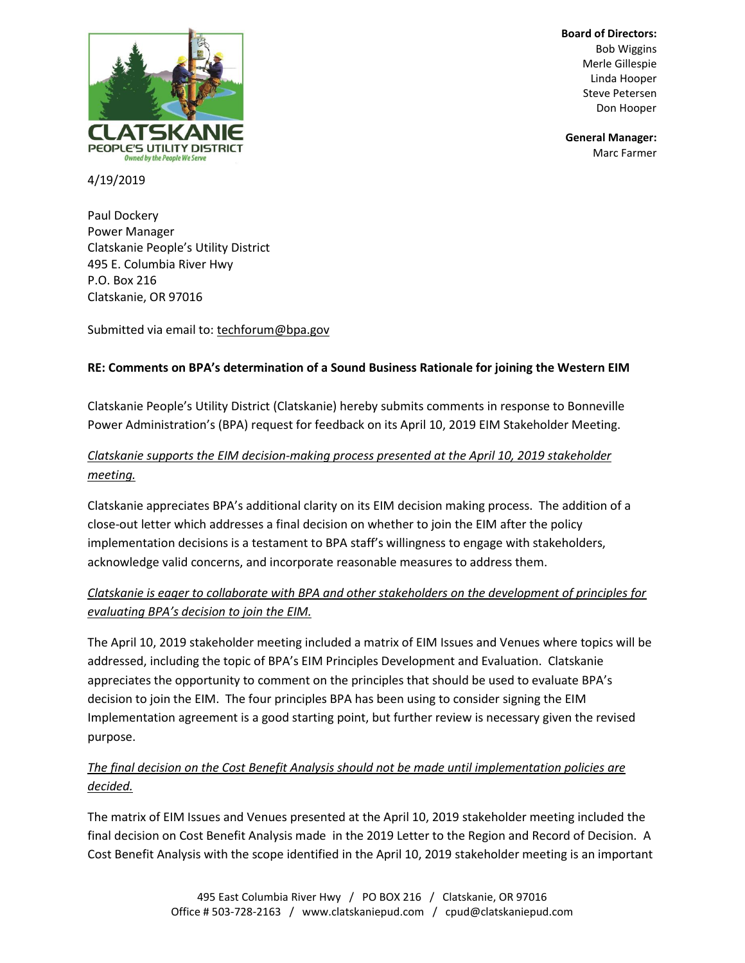

**Board of Directors: Bob Wiggins** Merle Gillespie Linda Hooper Steve Petersen

**General Manager:**

4/19/2019

Paul Dockery Power Manager Clatskanie People's Utility District 495 E. Columbia River Hwy P.O. Box 216 Clatskanie, OR 97016

Submitted via email to: [techforum@bpa.gov](mailto:techforum@bpa.gov)

### **RE: Comments on BPA's determination of a Sound Business Rationale for joining the Western EIM**

Clatskanie People's Utility District (Clatskanie) hereby submits comments in response to Bonneville Power Administration's (BPA) request for feedback on its April 10, 2019 EIM Stakeholder Meeting.

## *Clatskanie supports the EIM decision-making process presented at the April 10, 2019 stakeholder meeting.*

Clatskanie appreciates BPA's additional clarity on its EIM decision making process. The addition of a close-out letter which addresses a final decision on whether to join the EIM after the policy implementation decisions is a testament to BPA staff's willingness to engage with stakeholders, acknowledge valid concerns, and incorporate reasonable measures to address them.

## *Clatskanie is eager to collaborate with BPA and other stakeholders on the development of principles for evaluating BPA's decision to join the EIM.*

The April 10, 2019 stakeholder meeting included a matrix of EIM Issues and Venues where topics will be addressed, including the topic of BPA's EIM Principles Development and Evaluation. Clatskanie appreciates the opportunity to comment on the principles that should be used to evaluate BPA's decision to join the EIM. The four principles BPA has been using to consider signing the EIM Implementation agreement is a good starting point, but further review is necessary given the revised purpose.

## *The final decision on the Cost Benefit Analysis should not be made until implementation policies are decided.*

The matrix of EIM Issues and Venues presented at the April 10, 2019 stakeholder meeting included the final decision on Cost Benefit Analysis made in the 2019 Letter to the Region and Record of Decision. A Cost Benefit Analysis with the scope identified in the April 10, 2019 stakeholder meeting is an important